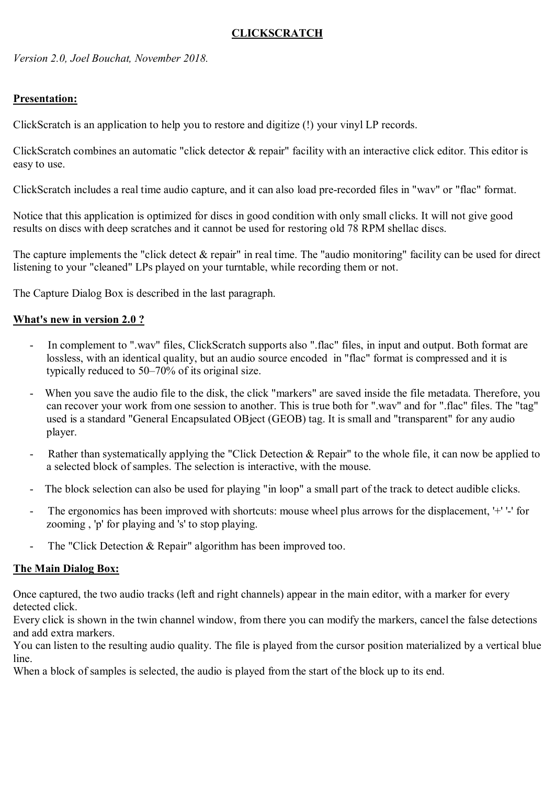# CLICKSCRATCH

*Version 2.0, Joel Bouchat, November 2018.* 

# Presentation:

ClickScratch is an application to help you to restore and digitize (!) your vinyl LP records.

ClickScratch combines an automatic "click detector & repair" facility with an interactive click editor. This editor is easy to use.

ClickScratch includes a real time audio capture, and it can also load pre-recorded files in "wav" or "flac" format.

Notice that this application is optimized for discs in good condition with only small clicks. It will not give good results on discs with deep scratches and it cannot be used for restoring old 78 RPM shellac discs.

The capture implements the "click detect  $\&$  repair" in real time. The "audio monitoring" facility can be used for direct listening to your "cleaned" LPs played on your turntable, while recording them or not.

The Capture Dialog Box is described in the last paragraph.

# What's new in version 2.0 ?

- In complement to ".wav" files, ClickScratch supports also ".flac" files, in input and output. Both format are lossless, with an identical quality, but an audio source encoded in "flac" format is compressed and it is typically reduced to 50–70% of its original size.
- When you save the audio file to the disk, the click "markers" are saved inside the file metadata. Therefore, you can recover your work from one session to another. This is true both for ".wav" and for ".flac" files. The "tag" used is a standard "General Encapsulated OBject (GEOB) tag. It is small and "transparent" for any audio player.
- Rather than systematically applying the "Click Detection & Repair" to the whole file, it can now be applied to a selected block of samples. The selection is interactive, with the mouse.
- The block selection can also be used for playing "in loop" a small part of the track to detect audible clicks.
- The ergonomics has been improved with shortcuts: mouse wheel plus arrows for the displacement, '+' '-' for zooming , 'p' for playing and 's' to stop playing.
- The "Click Detection & Repair" algorithm has been improved too.

## The Main Dialog Box:

Once captured, the two audio tracks (left and right channels) appear in the main editor, with a marker for every detected click.

Every click is shown in the twin channel window, from there you can modify the markers, cancel the false detections and add extra markers.

You can listen to the resulting audio quality. The file is played from the cursor position materialized by a vertical blue line.

When a block of samples is selected, the audio is played from the start of the block up to its end.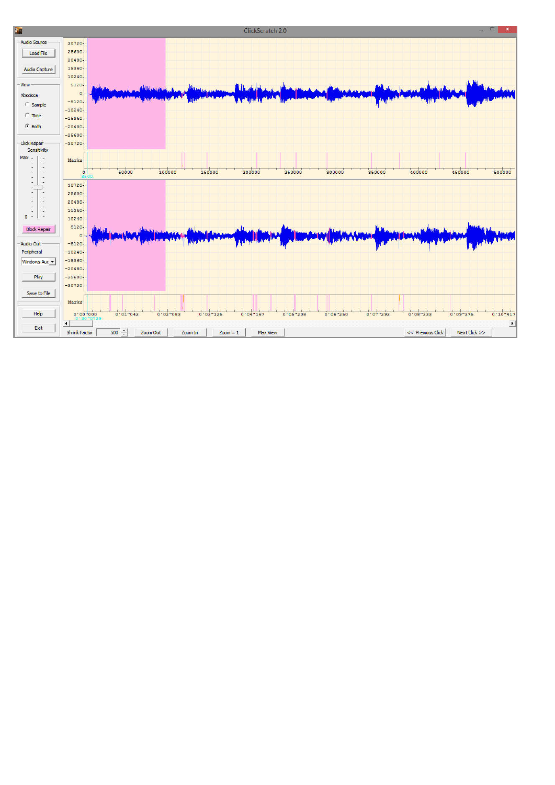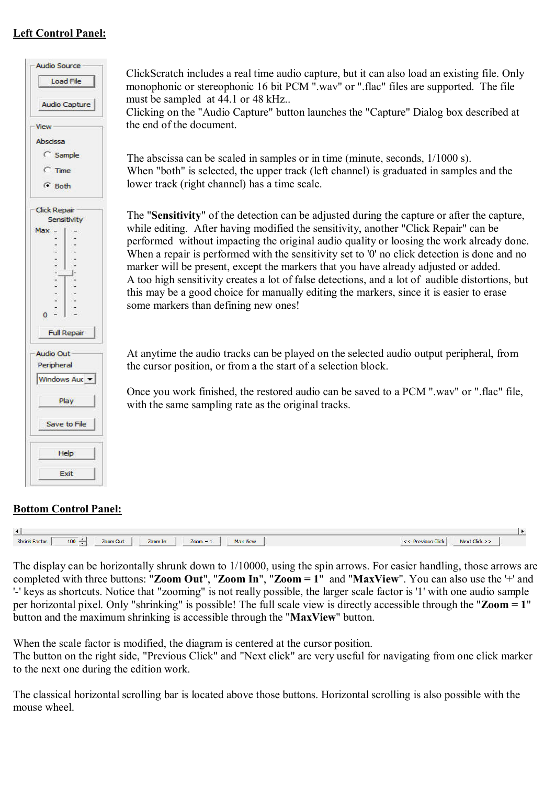# Left Control Panel:

| <b>Audio Source</b>  |
|----------------------|
| <b>Load File</b>     |
| <b>Audio Capture</b> |
| View                 |
| Abscissa             |
| C Sample             |
| $\subset$ Time       |
| G Both               |
| <b>Click Repair</b>  |
| Sensitivity          |
| Max -                |
| $\overline{a}$       |
|                      |
|                      |
|                      |
| į                    |
| $\mathbf{0}$         |
| <b>Full Repair</b>   |
| Audio Out            |
| Peripheral           |
| Windows Auc -        |
| Play                 |
| Save to File         |
| Help.                |
| Exit                 |

## Bottom Control Panel:

ClickScratch includes a real time audio capture, but it can also load an existing file. Only monophonic or stereophonic 16 bit PCM ".wav" or ".flac" files are supported. The file must be sampled at 44.1 or 48 kHz..

Clicking on the "Audio Capture" button launches the "Capture" Dialog box described at the end of the document.

The abscissa can be scaled in samples or in time (minute, seconds, 1/1000 s). When "both" is selected, the upper track (left channel) is graduated in samples and the lower track (right channel) has a time scale.

The "Sensitivity" of the detection can be adjusted during the capture or after the capture, while editing. After having modified the sensitivity, another "Click Repair" can be performed without impacting the original audio quality or loosing the work already done. When a repair is performed with the sensitivity set to '0' no click detection is done and no marker will be present, except the markers that you have already adjusted or added. A too high sensitivity creates a lot of false detections, and a lot of audible distortions, but this may be a good choice for manually editing the markers, since it is easier to erase some markers than defining new ones!

At anytime the audio tracks can be played on the selected audio output peripheral, from the cursor position, or from a the start of a selection block.

Once you work finished, the restored audio can be saved to a PCM ".wav" or ".flac" file, with the same sampling rate as the original tracks.

| <b>Shrink Factor</b> | $100 -$ | Zoom Out | Zoom In | $Zoom = 1$ | <b>Max View</b> | << Previous Click | Next Click >> |  |
|----------------------|---------|----------|---------|------------|-----------------|-------------------|---------------|--|

The display can be horizontally shrunk down to 1/10000, using the spin arrows. For easier handling, those arrows are completed with three buttons: "**Zoom Out**", "**Zoom In**", "**Zoom = 1**" and "**MaxView**". You can also use the '+' and '-' keys as shortcuts. Notice that "zooming" is not really possible, the larger scale factor is '1' with one audio sample per horizontal pixel. Only "shrinking" is possible! The full scale view is directly accessible through the "Zoom = 1" button and the maximum shrinking is accessible through the "MaxView" button.

When the scale factor is modified, the diagram is centered at the cursor position.

The button on the right side, "Previous Click" and "Next click" are very useful for navigating from one click marker to the next one during the edition work.

The classical horizontal scrolling bar is located above those buttons. Horizontal scrolling is also possible with the mouse wheel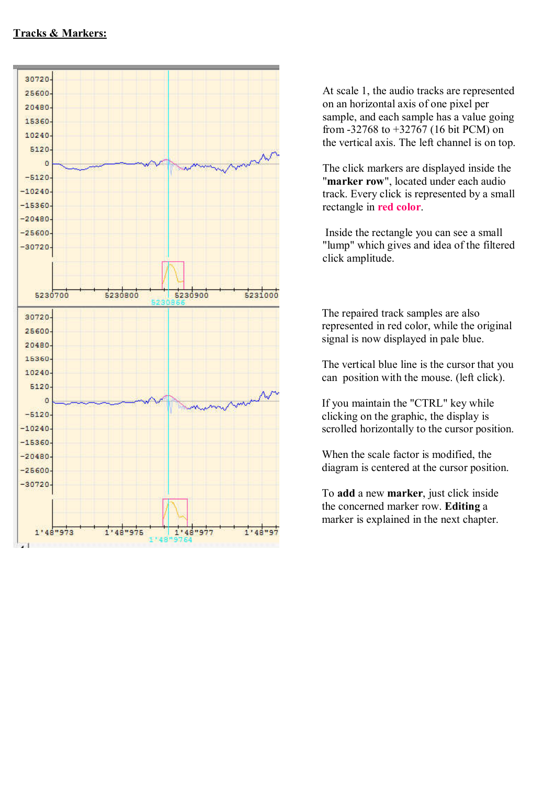

At scale 1, the audio tracks are represented on an horizontal axis of one pixel per sample, and each sample has a value going from -32768 to +32767 (16 bit PCM) on the vertical axis. The left channel is on top.

The click markers are displayed inside the "marker row", located under each audio track. Every click is represented by a small rectangle in red color.

 Inside the rectangle you can see a small "lump" which gives and idea of the filtered click amplitude.

The repaired track samples are also represented in red color, while the original signal is now displayed in pale blue.

The vertical blue line is the cursor that you can position with the mouse. (left click).

If you maintain the "CTRL" key while clicking on the graphic, the display is scrolled horizontally to the cursor position.

When the scale factor is modified, the diagram is centered at the cursor position.

To add a new marker, just click inside the concerned marker row. Editing a marker is explained in the next chapter.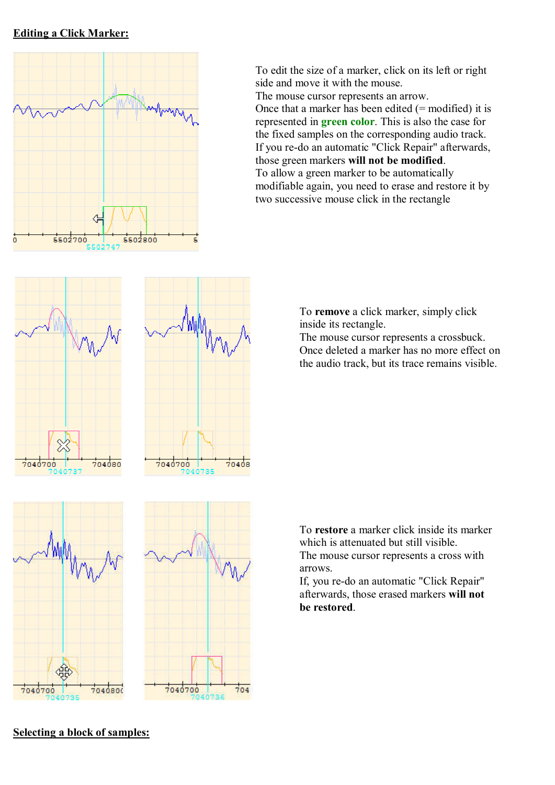### Editing a Click Marker:



To edit the size of a marker, click on its left or right side and move it with the mouse. The mouse cursor represents an arrow. Once that a marker has been edited  $(=$  modified) it is represented in green color. This is also the case for the fixed samples on the corresponding audio track. If you re-do an automatic "Click Repair" afterwards, those green markers will not be modified. To allow a green marker to be automatically modifiable again, you need to erase and restore it by two successive mouse click in the rectangle



|                    | ł<br>$\sqrt{\sqrt{2}}$ |
|--------------------|------------------------|
| 7040700<br>4<br>70 | 70408<br>0735          |

To remove a click marker, simply click inside its rectangle.

The mouse cursor represents a crossbuck. Once deleted a marker has no more effect on the audio track, but its trace remains visible.





To restore a marker click inside its marker which is attenuated but still visible. The mouse cursor represents a cross with arrows.

If, you re-do an automatic "Click Repair" afterwards, those erased markers will not be restored.

#### Selecting a block of samples: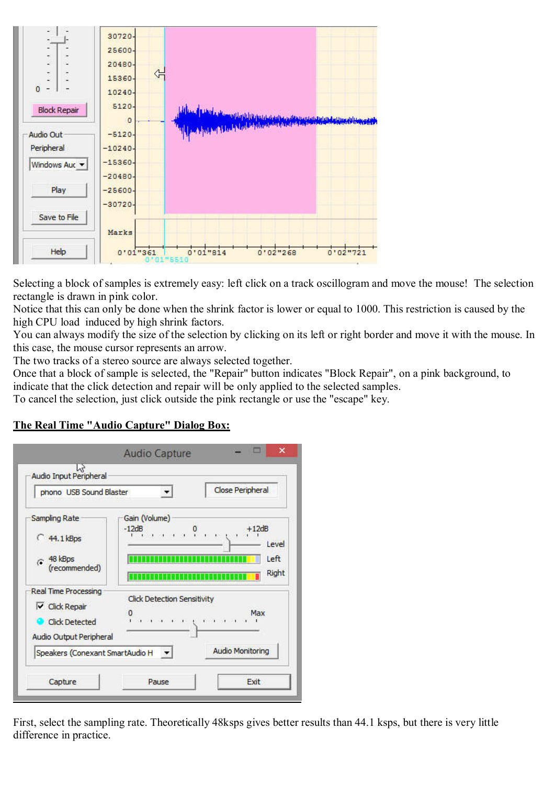

Selecting a block of samples is extremely easy: left click on a track oscillogram and move the mouse! The selection rectangle is drawn in pink color.

Notice that this can only be done when the shrink factor is lower or equal to 1000. This restriction is caused by the high CPU load induced by high shrink factors.

You can always modify the size of the selection by clicking on its left or right border and move it with the mouse. In this case, the mouse cursor represents an arrow.

The two tracks of a stereo source are always selected together.

Once that a block of sample is selected, the "Repair" button indicates "Block Repair", on a pink background, to indicate that the click detection and repair will be only applied to the selected samples.

To cancel the selection, just click outside the pink rectangle or use the "escape" key.

# The Real Time "Audio Capture" Dialog Box:

| phono USB Sound Blaster                                                                           |                                    | <b>Close Peripheral</b>                                                                                     |
|---------------------------------------------------------------------------------------------------|------------------------------------|-------------------------------------------------------------------------------------------------------------|
| Sampling Rate<br>44.1 kBps<br>48 kBps<br>(recommended)                                            | Gain (Volume)<br>$-12dB$           | $+12dB$<br>$\begin{smallmatrix} 0 & 0 & 1 \\ 1 & 1 & 1 & 1 & 1 \end{smallmatrix}$<br>Level<br>Left<br>Right |
| <b>Real Time Processing</b><br>$\nabla$ Click Repair<br>Click Detected<br>Audio Output Peripheral | <b>Click Detection Sensitivity</b> | Max<br>$\frac{1}{2}$ , and a set $\frac{1}{2}$ , and a set $\frac{1}{2}$ , and a set $\frac{1}{2}$          |
| Speakers (Conexant SmartAudio H                                                                   |                                    | <b>Audio Monitoring</b>                                                                                     |

First, select the sampling rate. Theoretically 48ksps gives better results than 44.1 ksps, but there is very little difference in practice.